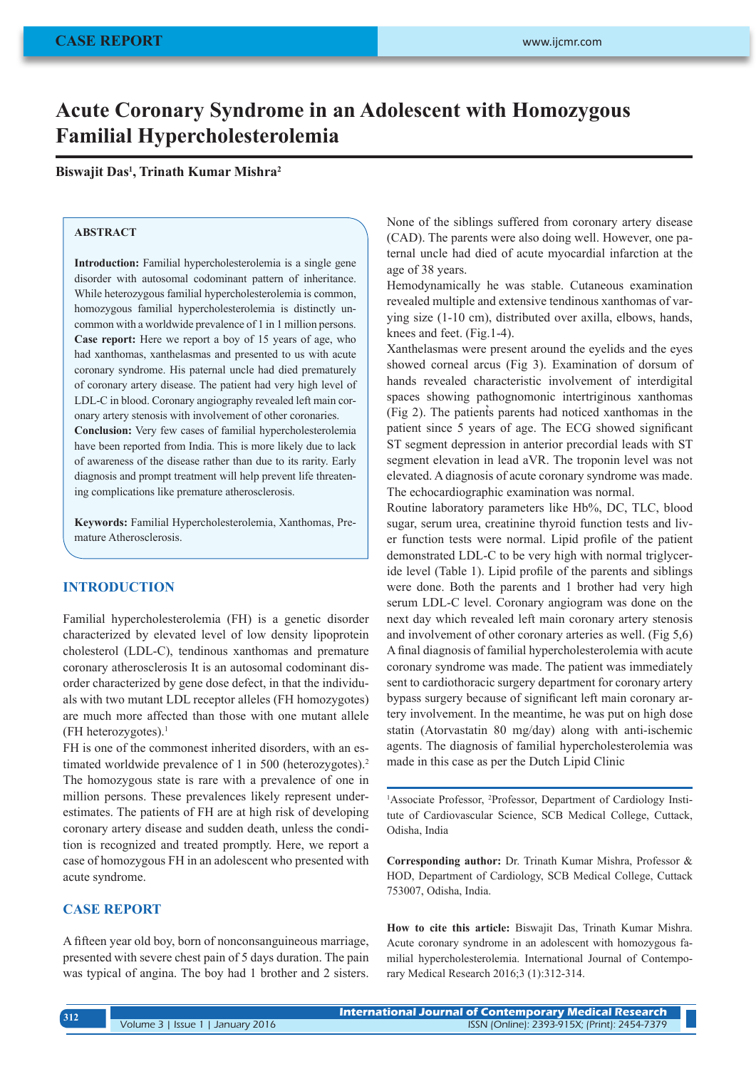# **Acute Coronary Syndrome in an Adolescent with Homozygous Familial Hypercholesterolemia**

**Biswajit Das1 , Trinath Kumar Mishra2**

## **ABSTRACT**

**Introduction:** Familial hypercholesterolemia is a single gene disorder with autosomal codominant pattern of inheritance. While heterozygous familial hypercholesterolemia is common, homozygous familial hypercholesterolemia is distinctly uncommon with a worldwide prevalence of 1 in 1 million persons. **Case report:** Here we report a boy of 15 years of age, who had xanthomas, xanthelasmas and presented to us with acute coronary syndrome. His paternal uncle had died prematurely of coronary artery disease. The patient had very high level of LDL-C in blood. Coronary angiography revealed left main coronary artery stenosis with involvement of other coronaries.

**Conclusion:** Very few cases of familial hypercholesterolemia have been reported from India. This is more likely due to lack of awareness of the disease rather than due to its rarity. Early diagnosis and prompt treatment will help prevent life threatening complications like premature atherosclerosis.

**Keywords:** Familial Hypercholesterolemia, Xanthomas, Premature Atherosclerosis.

#### **INTRODUCTION**

Familial hypercholesterolemia (FH) is a genetic disorder characterized by elevated level of low density lipoprotein cholesterol (LDL-C), tendinous xanthomas and premature coronary atherosclerosis It is an autosomal codominant disorder characterized by gene dose defect, in that the individuals with two mutant LDL receptor alleles (FH homozygotes) are much more affected than those with one mutant allele (FH heterozygotes). $<sup>1</sup>$ </sup>

FH is one of the commonest inherited disorders, with an estimated worldwide prevalence of 1 in 500 (heterozygotes).<sup>2</sup> The homozygous state is rare with a prevalence of one in million persons. These prevalences likely represent underestimates. The patients of FH are at high risk of developing coronary artery disease and sudden death, unless the condition is recognized and treated promptly. Here, we report a case of homozygous FH in an adolescent who presented with acute syndrome.

# **CASE REPORT**

A fifteen year old boy, born of nonconsanguineous marriage, presented with severe chest pain of 5 days duration. The pain was typical of angina. The boy had 1 brother and 2 sisters. None of the siblings suffered from coronary artery disease (CAD). The parents were also doing well. However, one paternal uncle had died of acute myocardial infarction at the age of 38 years.

Hemodynamically he was stable. Cutaneous examination revealed multiple and extensive tendinous xanthomas of varying size (1-10 cm), distributed over axilla, elbows, hands, knees and feet. (Fig.1-4).

Xanthelasmas were present around the eyelids and the eyes showed corneal arcus (Fig 3). Examination of dorsum of hands revealed characteristic involvement of interdigital spaces showing pathognomonic intertriginous xanthomas (Fig 2). The patients parents had noticed xanthomas in the patient since 5 years of age. The ECG showed significant ST segment depression in anterior precordial leads with ST segment elevation in lead aVR. The troponin level was not elevated. A diagnosis of acute coronary syndrome was made. The echocardiographic examination was normal.

Routine laboratory parameters like Hb%, DC, TLC, blood sugar, serum urea, creatinine thyroid function tests and liver function tests were normal. Lipid profile of the patient demonstrated LDL-C to be very high with normal triglyceride level (Table 1). Lipid profile of the parents and siblings were done. Both the parents and 1 brother had very high serum LDL-C level. Coronary angiogram was done on the next day which revealed left main coronary artery stenosis and involvement of other coronary arteries as well. (Fig 5,6) A final diagnosis of familial hypercholesterolemia with acute coronary syndrome was made. The patient was immediately sent to cardiothoracic surgery department for coronary artery bypass surgery because of significant left main coronary artery involvement. In the meantime, he was put on high dose statin (Atorvastatin 80 mg/day) along with anti-ischemic agents. The diagnosis of familial hypercholesterolemia was made in this case as per the Dutch Lipid Clinic

<sup>1</sup>Associate Professor, <sup>2</sup>Professor, Department of Cardiology Institute of Cardiovascular Science, SCB Medical College, Cuttack, Odisha, India

**Corresponding author:** Dr. Trinath Kumar Mishra, Professor & HOD, Department of Cardiology, SCB Medical College, Cuttack 753007, Odisha, India.

**How to cite this article:** Biswajit Das, Trinath Kumar Mishra. Acute coronary syndrome in an adolescent with homozygous familial hypercholesterolemia. International Journal of Contemporary Medical Research 2016;3 (1):312-314.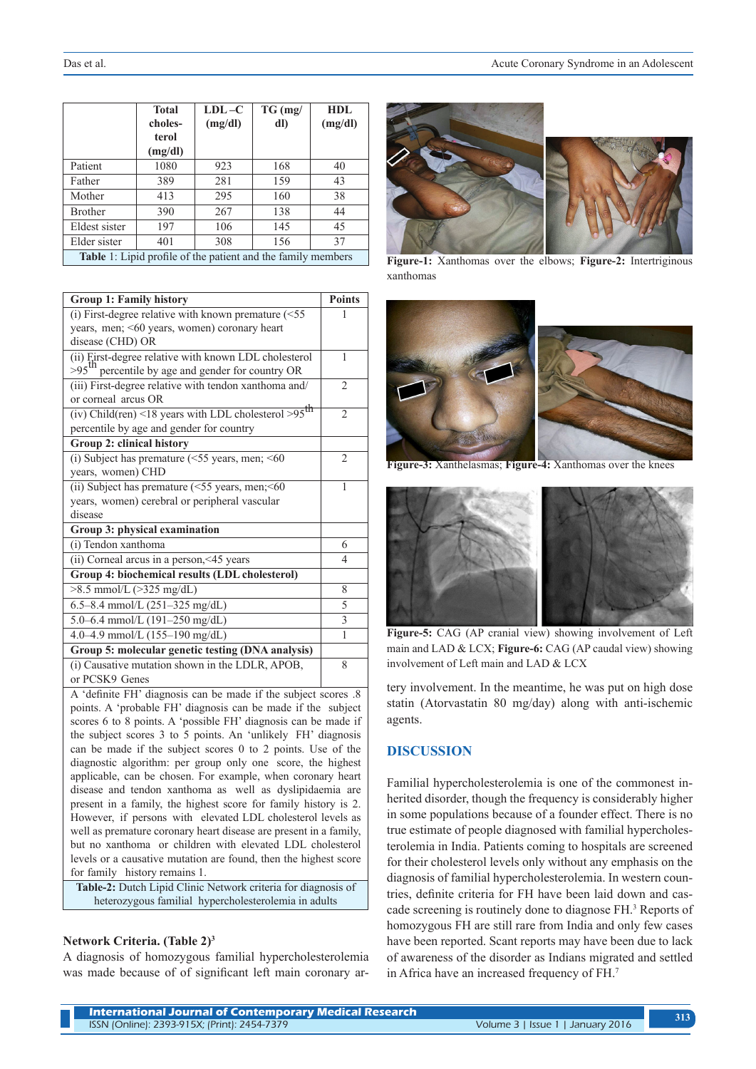|                                                              | <b>Total</b> | $LDL - C$ | $TG$ (mg/ | HDL     |  |
|--------------------------------------------------------------|--------------|-----------|-----------|---------|--|
|                                                              | choles-      | (mg/dl)   | dl)       | (mg/dl) |  |
|                                                              | terol        |           |           |         |  |
|                                                              | (mg/dl)      |           |           |         |  |
| Patient                                                      | 1080         | 923       | 168       | 40      |  |
| Father                                                       | 389          | 281       | 159       | 43      |  |
| Mother                                                       | 413          | 295       | 160       | 38      |  |
| <b>Brother</b>                                               | 390          | 267       | 138       | 44      |  |
| Eldest sister                                                | 197          | 106       | 145       | 45      |  |
| Elder sister                                                 | 401          | 308       | 156       | 37      |  |
| Table 1: Lipid profile of the patient and the family members |              |           |           |         |  |

| <b>Group 1: Family history</b>                                     | <b>Points</b>  |  |  |
|--------------------------------------------------------------------|----------------|--|--|
| (i) First-degree relative with known premature $(<55$              |                |  |  |
| years, men; <60 years, women) coronary heart                       |                |  |  |
| disease (CHD) OR                                                   |                |  |  |
| (ii) Eirst-degree relative with known LDL cholesterol              | 1              |  |  |
| $>95$ <sup>th</sup><br>percentile by age and gender for country OR |                |  |  |
| (iii) First-degree relative with tendon xanthoma and/              | $\overline{2}$ |  |  |
| or corneal arcus OR                                                |                |  |  |
| (iv) Child(ren) <18 years with LDL cholesterol >95 <sup>th</sup>   | $\overline{2}$ |  |  |
| percentile by age and gender for country                           |                |  |  |
| Group 2: clinical history                                          |                |  |  |
| (i) Subject has premature $(\leq 55$ years, men; $\leq 60$         | $\mathfrak{D}$ |  |  |
| years, women) CHD                                                  |                |  |  |
| (ii) Subject has premature $(\leq 55$ years, men; $\leq 60$        | 1              |  |  |
| years, women) cerebral or peripheral vascular                      |                |  |  |
| disease                                                            |                |  |  |
| <b>Group 3: physical examination</b>                               |                |  |  |
| (i) Tendon xanthoma                                                | 6              |  |  |
| (ii) Corneal arcus in a person, <45 years                          | 4              |  |  |
| Group 4: biochemical results (LDL cholesterol)                     |                |  |  |
| $>8.5$ mmol/L ( $>325$ mg/dL)                                      | 8              |  |  |
| 6.5–8.4 mmol/L $(251–325 \text{ mg/dL})$                           | 5              |  |  |
| 5.0-6.4 mmol/L (191-250 mg/dL)                                     | 3              |  |  |
| 4.0-4.9 mmol/L (155-190 mg/dL)                                     | 1              |  |  |
| Group 5: molecular genetic testing (DNA analysis)                  |                |  |  |
| (i) Causative mutation shown in the LDLR, APOB,                    | 8              |  |  |
| or PCSK9 Genes                                                     |                |  |  |
| A 'definite FH' diagnosis can be made if the subject scores .8     |                |  |  |

points. A 'probable FH' diagnosis can be made if the subject scores 6 to 8 points. A 'possible FH' diagnosis can be made if the subject scores 3 to 5 points. An 'unlikely FH' diagnosis can be made if the subject scores 0 to 2 points. Use of the diagnostic algorithm: per group only one score, the highest applicable, can be chosen. For example, when coronary heart disease and tendon xanthoma as well as dyslipidaemia are present in a family, the highest score for family history is 2. However, if persons with elevated LDL cholesterol levels as well as premature coronary heart disease are present in a family, but no xanthoma or children with elevated LDL cholesterol levels or a causative mutation are found, then the highest score for family history remains 1.

**Table-2:** Dutch Lipid Clinic Network criteria for diagnosis of heterozygous familial hypercholesterolemia in adults

#### **Network Criteria. (Table 2)3**

A diagnosis of homozygous familial hypercholesterolemia was made because of of significant left main coronary ar-



**Figure-1:** Xanthomas over the elbows; **Figure-2:** Intertriginous xanthomas



**Figure-3:** Xanthelasmas; **Figure-4:** Xanthomas over the knees



**Figure-5:** CAG (AP cranial view) showing involvement of Left main and LAD & LCX; **Figure-6:** CAG (AP caudal view) showing involvement of Left main and LAD & LCX

tery involvement. In the meantime, he was put on high dose statin (Atorvastatin 80 mg/day) along with anti-ischemic agents.

### **DISCUSSION**

Familial hypercholesterolemia is one of the commonest inherited disorder, though the frequency is considerably higher in some populations because of a founder effect. There is no true estimate of people diagnosed with familial hypercholesterolemia in India. Patients coming to hospitals are screened for their cholesterol levels only without any emphasis on the diagnosis of familial hypercholesterolemia. In western countries, definite criteria for FH have been laid down and cascade screening is routinely done to diagnose FH.<sup>3</sup> Reports of homozygous FH are still rare from India and only few cases have been reported. Scant reports may have been due to lack of awareness of the disorder as Indians migrated and settled in Africa have an increased frequency of FH.7